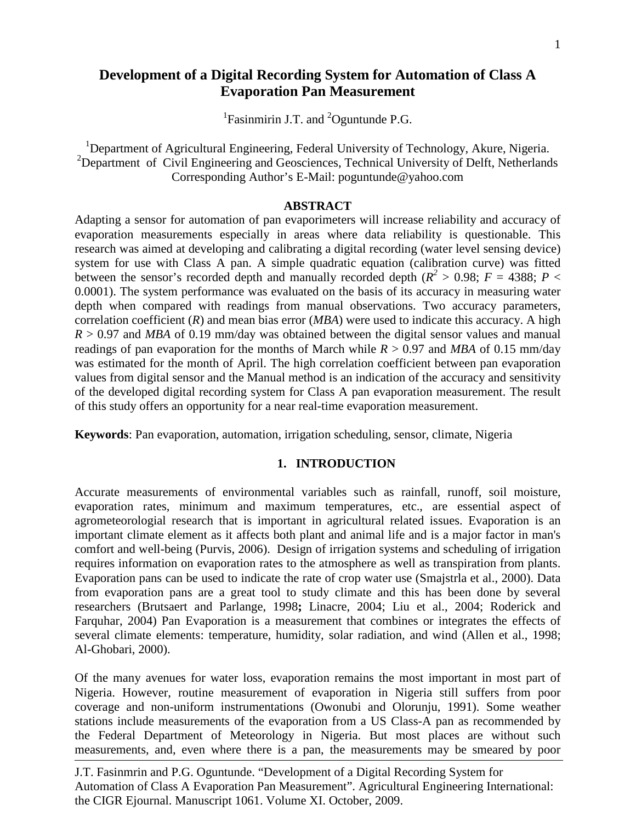# **Development of a Digital Recording System for Automation of Class A Evaporation Pan Measurement**

<sup>1</sup>Fasinmirin J.T. and  ${}^{2}$ Oguntunde P.G.

<sup>1</sup>Department of Agricultural Engineering, Federal University of Technology, Akure, Nigeria. <sup>2</sup>Department of Civil Engineering and Geosciences, Technical University of Delft, Netherlands Corresponding Author's E-Mail: poguntunde@yahoo.com

#### **ABSTRACT**

Adapting a sensor for automation of pan evaporimeters will increase reliability and accuracy of evaporation measurements especially in areas where data reliability is questionable. This research was aimed at developing and calibrating a digital recording (water level sensing device) system for use with Class A pan. A simple quadratic equation (calibration curve) was fitted between the sensor's recorded depth and manually recorded depth ( $R^2 > 0.98$ ;  $F = 4388$ ;  $P <$ 0.0001). The system performance was evaluated on the basis of its accuracy in measuring water depth when compared with readings from manual observations. Two accuracy parameters, correlation coefficient (*R*) and mean bias error (*MBA*) were used to indicate this accuracy. A high  $R > 0.97$  and *MBA* of 0.19 mm/day was obtained between the digital sensor values and manual readings of pan evaporation for the months of March while  $R > 0.97$  and MBA of 0.15 mm/day was estimated for the month of April. The high correlation coefficient between pan evaporation values from digital sensor and the Manual method is an indication of the accuracy and sensitivity of the developed digital recording system for Class A pan evaporation measurement. The result of this study offers an opportunity for a near real-time evaporation measurement.

**Keywords**: Pan evaporation, automation, irrigation scheduling, sensor, climate, Nigeria

#### **1. INTRODUCTION**

Accurate measurements of environmental variables such as rainfall, runoff, soil moisture, evaporation rates, minimum and maximum temperatures, etc., are essential aspect of agrometeorologial research that is important in agricultural related issues. Evaporation is an important climate element as it affects both plant and animal life and is a major factor in man's comfort and well-being (Purvis, 2006). Design of irrigation systems and scheduling of irrigation requires information on evaporation rates to the atmosphere as well as transpiration from plants. Evaporation pans can be used to indicate the rate of crop water use (Smajstrla et al., 2000). Data from evaporation pans are a great tool to study climate and this has been done by several researchers (Brutsaert and Parlange, 1998**;** Linacre, 2004; Liu et al., 2004; Roderick and Farquhar, 2004) Pan Evaporation is a measurement that combines or integrates the effects of several climate elements: temperature, humidity, solar radiation, and wind (Allen et al., 1998; Al-Ghobari, 2000).

Of the many avenues for water loss, evaporation remains the most important in most part of Nigeria. However, routine measurement of evaporation in Nigeria still suffers from poor coverage and non-uniform instrumentations (Owonubi and Olorunju, 1991). Some weather stations include measurements of the evaporation from a US Class-A pan as recommended by the Federal Department of Meteorology in Nigeria. But most places are without such measurements, and, even where there is a pan, the measurements may be smeared by poor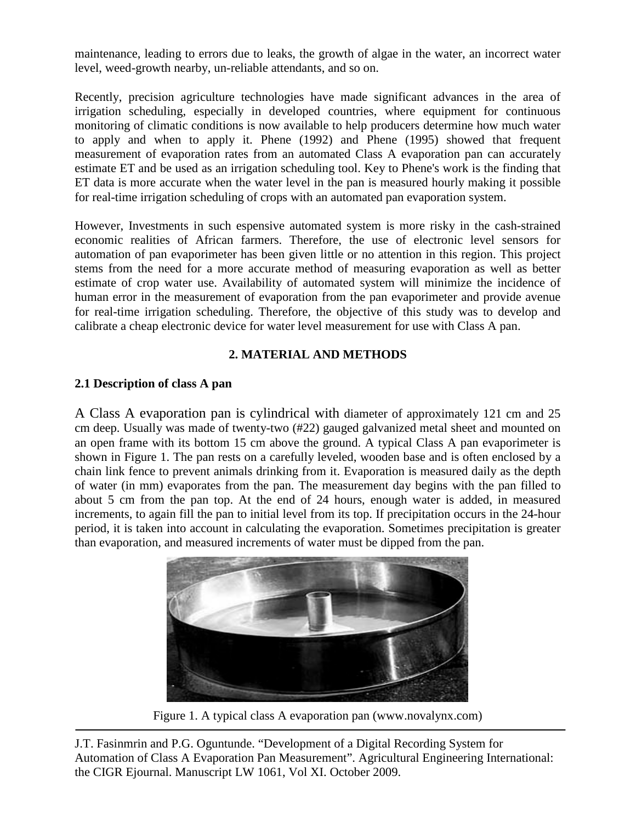maintenance, leading to errors due to leaks, the growth of algae in the water, an incorrect water level, weed-growth nearby, un-reliable attendants, and so on.

Recently, precision agriculture technologies have made significant advances in the area of irrigation scheduling, especially in developed countries, where equipment for continuous monitoring of climatic conditions is now available to help producers determine how much water to apply and when to apply it. Phene (1992) and Phene (1995) showed that frequent measurement of evaporation rates from an automated Class A evaporation pan can accurately estimate ET and be used as an irrigation scheduling tool. Key to Phene's work is the finding that ET data is more accurate when the water level in the pan is measured hourly making it possible for real-time irrigation scheduling of crops with an automated pan evaporation system.

However, Investments in such espensive automated system is more risky in the cash-strained economic realities of African farmers. Therefore, the use of electronic level sensors for automation of pan evaporimeter has been given little or no attention in this region. This project stems from the need for a more accurate method of measuring evaporation as well as better estimate of crop water use. Availability of automated system will minimize the incidence of human error in the measurement of evaporation from the pan evaporimeter and provide avenue for real-time irrigation scheduling. Therefore, the objective of this study was to develop and calibrate a cheap electronic device for water level measurement for use with Class A pan.

## **2. MATERIAL AND METHODS**

## **2.1 Description of class A pan**

A Class A evaporation pan is cylindrical with diameter of approximately 121 cm and 25 cm deep. Usually was made of twenty-two (#22) gauged galvanized metal sheet and mounted on an open frame with its bottom 15 cm above the ground. A typical Class A pan evaporimeter is shown in Figure 1. The pan rests on a carefully leveled, wooden base and is often enclosed by a chain link fence to prevent animals drinking from it. Evaporation is measured daily as the depth of water (in mm) evaporates from the pan. The measurement day begins with the pan filled to about 5 cm from the pan top. At the end of 24 hours, enough water is added, in measured increments, to again fill the pan to initial level from its top. If precipitation occurs in the 24-hour period, it is taken into account in calculating the evaporation. Sometimes precipitation is greater than evaporation, and measured increments of water must be dipped from the pan.



Figure 1. A typical class A evaporation pan (www.novalynx.com)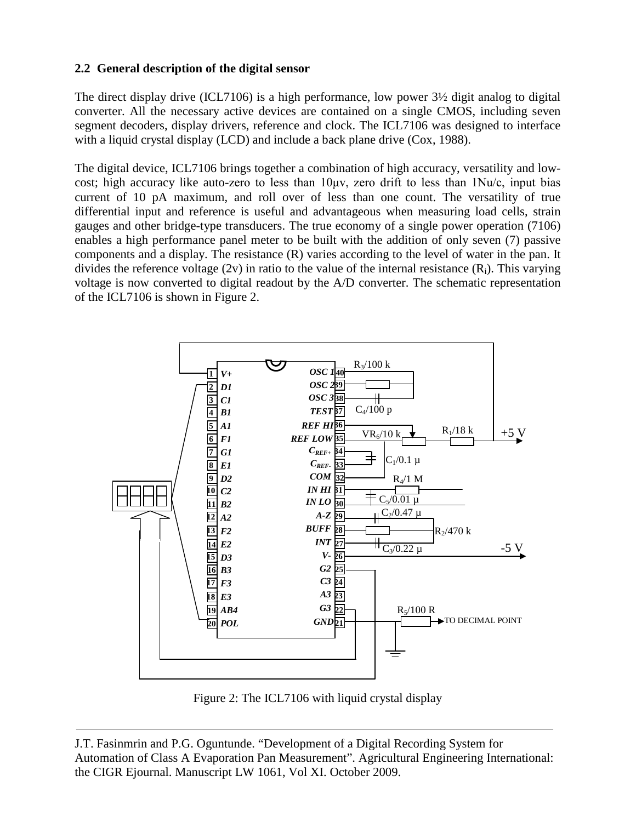# **2.2 General description of the digital sensor**

The direct display drive (ICL7106) is a high performance, low power 3½ digit analog to digital converter. All the necessary active devices are contained on a single CMOS, including seven segment decoders, display drivers, reference and clock. The ICL7106 was designed to interface with a liquid crystal display (LCD) and include a back plane drive (Cox, 1988).

The digital device, ICL7106 brings together a combination of high accuracy, versatility and lowcost; high accuracy like auto-zero to less than 10μv, zero drift to less than 1Nu/c, input bias current of 10 pA maximum, and roll over of less than one count. The versatility of true differential input and reference is useful and advantageous when measuring load cells, strain gauges and other bridge-type transducers. The true economy of a single power operation (7106) enables a high performance panel meter to be built with the addition of only seven (7) passive components and a display. The resistance (R) varies according to the level of water in the pan. It divides the reference voltage (2v) in ratio to the value of the internal resistance  $(R_i)$ . This varying voltage is now converted to digital readout by the A/D converter. The schematic representation of the ICL7106 is shown in Figure 2.



Figure 2: The ICL7106 with liquid crystal display

J.T. Fasinmrin and P.G. Oguntunde. "Development of a Digital Recording System for Automation of Class A Evaporation Pan Measurement". Agricultural Engineering International: the CIGR Ejournal. Manuscript LW 1061, Vol XI. October 2009.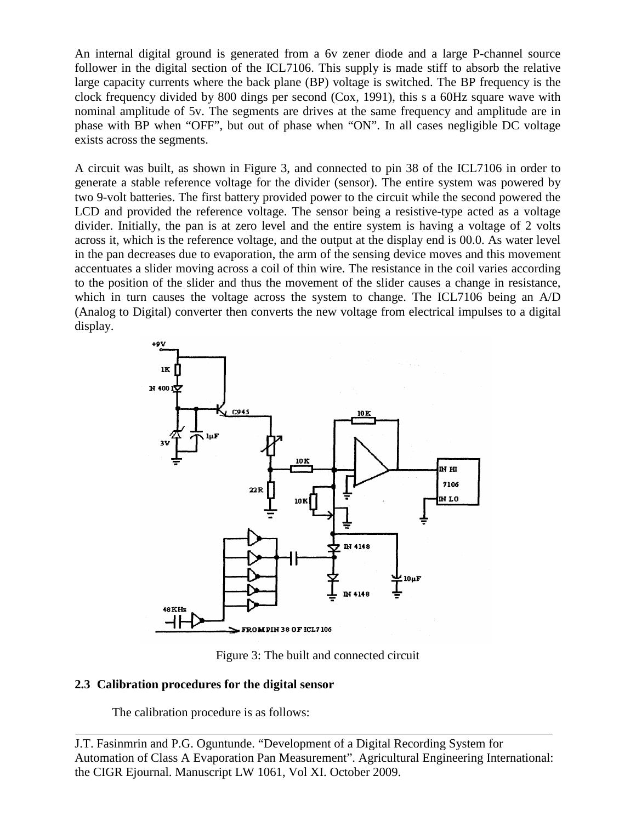An internal digital ground is generated from a 6v zener diode and a large P-channel source follower in the digital section of the ICL7106. This supply is made stiff to absorb the relative large capacity currents where the back plane (BP) voltage is switched. The BP frequency is the clock frequency divided by 800 dings per second (Cox, 1991), this s a 60Hz square wave with nominal amplitude of 5v. The segments are drives at the same frequency and amplitude are in phase with BP when "OFF", but out of phase when "ON". In all cases negligible DC voltage exists across the segments.

A circuit was built, as shown in Figure 3, and connected to pin 38 of the ICL7106 in order to generate a stable reference voltage for the divider (sensor). The entire system was powered by two 9-volt batteries. The first battery provided power to the circuit while the second powered the LCD and provided the reference voltage. The sensor being a resistive-type acted as a voltage divider. Initially, the pan is at zero level and the entire system is having a voltage of 2 volts across it, which is the reference voltage, and the output at the display end is 00.0. As water level in the pan decreases due to evaporation, the arm of the sensing device moves and this movement accentuates a slider moving across a coil of thin wire. The resistance in the coil varies according to the position of the slider and thus the movement of the slider causes a change in resistance, which in turn causes the voltage across the system to change. The ICL7106 being an A/D (Analog to Digital) converter then converts the new voltage from electrical impulses to a digital display.



Figure 3: The built and connected circuit

## **2.3 Calibration procedures for the digital sensor**

The calibration procedure is as follows:

J.T. Fasinmrin and P.G. Oguntunde. "Development of a Digital Recording System for Automation of Class A Evaporation Pan Measurement". Agricultural Engineering International: the CIGR Ejournal. Manuscript LW 1061, Vol XI. October 2009.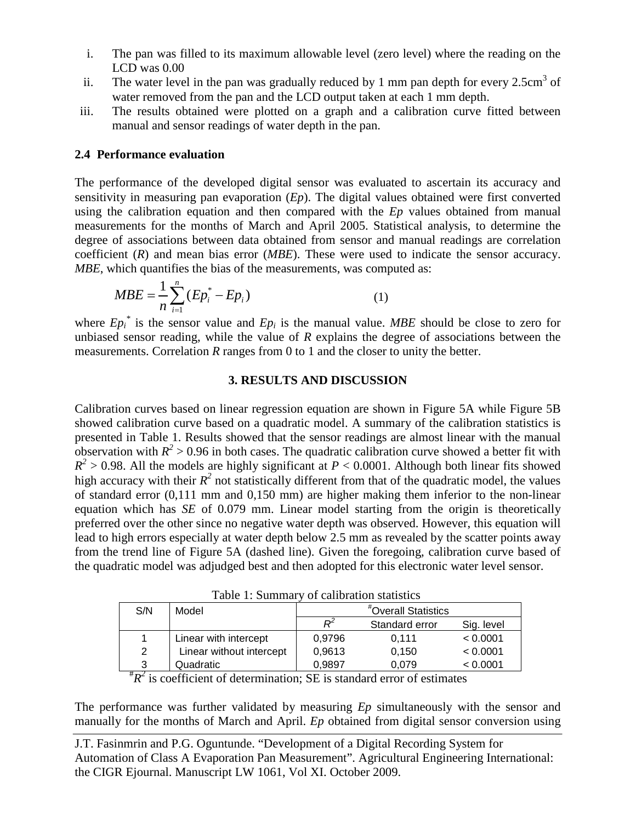- i. The pan was filled to its maximum allowable level (zero level) where the reading on the LCD was 0.00
- ii. The water level in the pan was gradually reduced by 1 mm pan depth for every  $2.5 \text{cm}^3$  of water removed from the pan and the LCD output taken at each 1 mm depth.
- iii. The results obtained were plotted on a graph and a calibration curve fitted between manual and sensor readings of water depth in the pan.

#### **2.4 Performance evaluation**

The performance of the developed digital sensor was evaluated to ascertain its accuracy and sensitivity in measuring pan evaporation (*Ep*). The digital values obtained were first converted using the calibration equation and then compared with the *Ep* values obtained from manual measurements for the months of March and April 2005. Statistical analysis, to determine the degree of associations between data obtained from sensor and manual readings are correlation coefficient (*R*) and mean bias error (*MBE*). These were used to indicate the sensor accuracy. *MBE*, which quantifies the bias of the measurements, was computed as:

$$
MBE = \frac{1}{n} \sum_{i=1}^{n} (Ep_i^* - Ep_i)
$$
 (1)

where  $Ep_i^*$  is the sensor value and  $Ep_i$  is the manual value. *MBE* should be close to zero for unbiased sensor reading, while the value of *R* explains the degree of associations between the measurements. Correlation *R* ranges from 0 to 1 and the closer to unity the better.

#### **3. RESULTS AND DISCUSSION**

Calibration curves based on linear regression equation are shown in Figure 5A while Figure 5B showed calibration curve based on a quadratic model. A summary of the calibration statistics is presented in Table 1. Results showed that the sensor readings are almost linear with the manual observation with  $R^2 > 0.96$  in both cases. The quadratic calibration curve showed a better fit with  $R^2$  > 0.98. All the models are highly significant at *P* < 0.0001. Although both linear fits showed high accuracy with their  $R^2$  not statistically different from that of the quadratic model, the values of standard error (0,111 mm and 0,150 mm) are higher making them inferior to the non-linear equation which has *SE* of 0.079 mm. Linear model starting from the origin is theoretically preferred over the other since no negative water depth was observed. However, this equation will lead to high errors especially at water depth below 2.5 mm as revealed by the scatter points away from the trend line of Figure 5A (dashed line). Given the foregoing, calibration curve based of the quadratic model was adjudged best and then adopted for this electronic water level sensor.

Table 1: Summary of calibration statistics

| S/N | Model                    | "Overall Statistics |                |            |
|-----|--------------------------|---------------------|----------------|------------|
|     |                          |                     | Standard error | Sig. level |
|     | Linear with intercept    | 0.9796              | 0.111          | < 0.0001   |
| 2   | Linear without intercept | 0.9613              | 0.150          | < 0.0001   |
| ີ   | Quadratic                | 0.9897              | 0.079          | < 0.0001   |

 $\frac{3}{\sqrt[4]{R^2}}$  is coefficient of determination; SE is standard error of estimates

The performance was further validated by measuring *Ep* simultaneously with the sensor and manually for the months of March and April. *Ep* obtained from digital sensor conversion using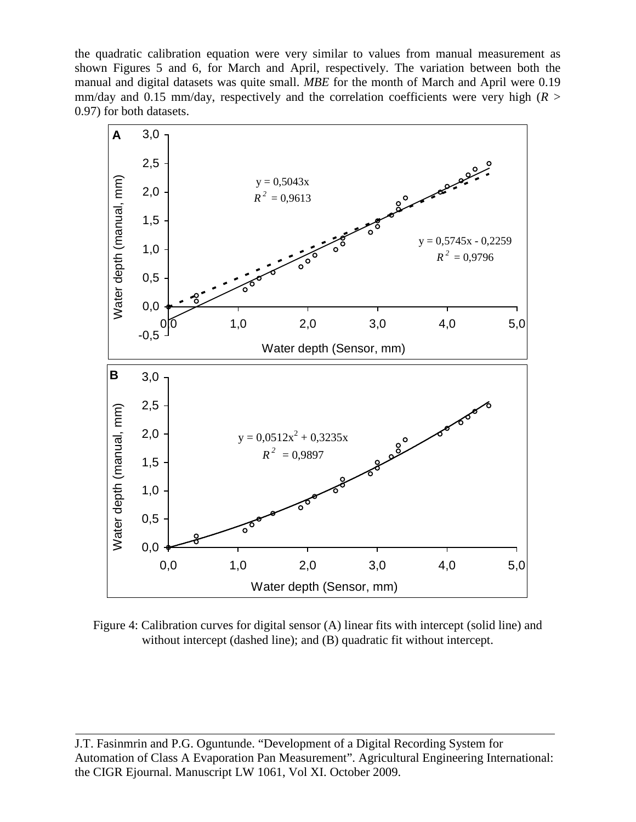the quadratic calibration equation were very similar to values from manual measurement as shown Figures 5 and 6, for March and April, respectively. The variation between both the manual and digital datasets was quite small. *MBE* for the month of March and April were 0.19 mm/day and 0.15 mm/day, respectively and the correlation coefficients were very high ( $R >$ 0.97) for both datasets.



Figure 4: Calibration curves for digital sensor (A) linear fits with intercept (solid line) and without intercept (dashed line); and (B) quadratic fit without intercept.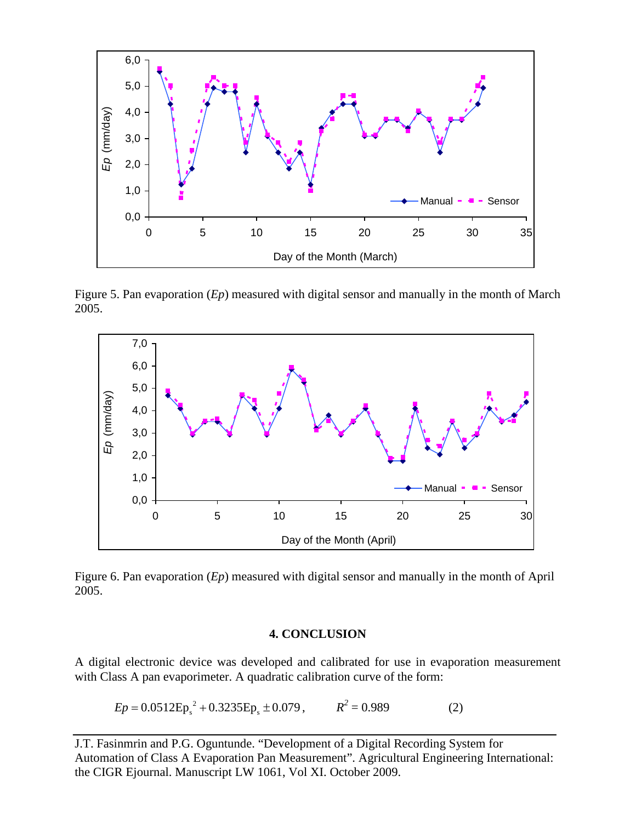

Figure 5. Pan evaporation (*Ep*) measured with digital sensor and manually in the month of March 2005.



Figure 6. Pan evaporation (*Ep*) measured with digital sensor and manually in the month of April 2005.

#### **4. CONCLUSION**

A digital electronic device was developed and calibrated for use in evaporation measurement with Class A pan evaporimeter. A quadratic calibration curve of the form:

$$
Ep = 0.0512 Ep_s^2 + 0.3235Ep_s \pm 0.079, \qquad R^2 = 0.989 \tag{2}
$$